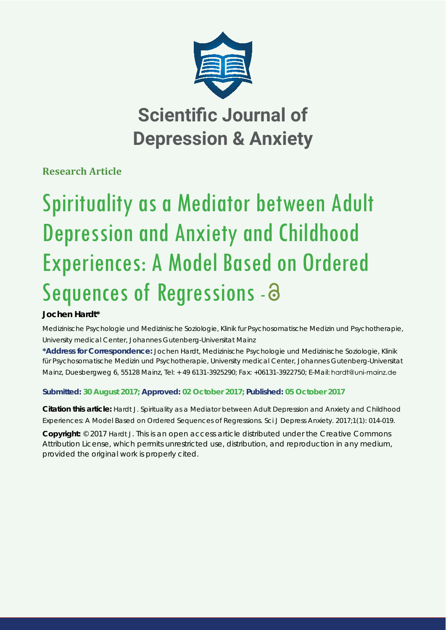

# **Scientific Journal of Depression & Anxiety**

**Research Article**

# Spirituality as a Mediator between Adult Depression and Anxiety and Childhood Experiences: A Model Based on Ordered Sequences of Regressions - 8

## **Jochen Hardt\***

*Medizinische Psychologie und Medizinische Soziologie, Klinik fur Psychosomatische Medizin und Psychotherapie, University medical Center, Johannes Gutenberg-Universitat Mainz*

**\*Address for Correspondence:** Jochen Hardt, Medizinische Psychologie und Medizinische Soziologie, Klinik für Psychosomatische Medizin und Psychotherapie, University medical Center, Johannes Gutenberg-Universitat Mainz, Duesbergweg 6, 55128 Mainz, Tel: + 49 6131-3925290; Fax: +06131-3922750; E-Mail: hardt@uni-mainz.de

### **Submitted: 30 August 2017; Approved: 02 October 2017; Published: 05 October 2017**

**Citation this article:** Hardt J. Spirituality as a Mediator between Adult Depression and Anxiety and Childhood Experiences: A Model Based on Ordered Sequences of Regressions. Sci J Depress Anxiety. 2017;1(1): 014-019.

**Copyright:** © 2017 Hardt J. This is an open access article distributed under the Creative Commons Attribution License, which permits unrestricted use, distribution, and reproduction in any medium, provided the original work is properly cited.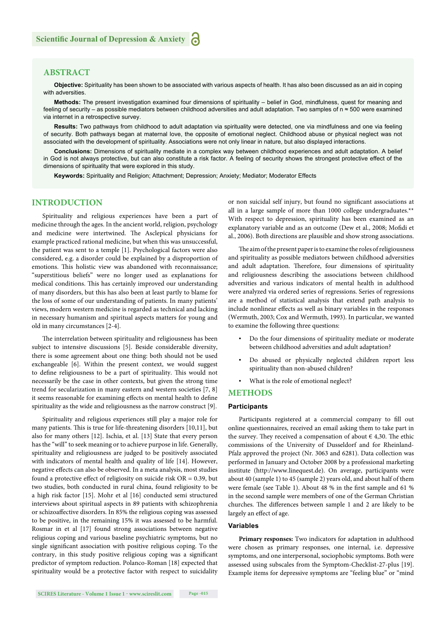#### **ABSTRACT**

**Objective:** Spirituality has been shown to be associated with various aspects of health. It has also been discussed as an aid in coping with adversities.

**Methods:** The present investigation examined four dimensions of spirituality – belief in God, mindfulness, quest for meaning and feeling of security – as possible mediators between childhood adversities and adult adaptation. Two samples of n ≈ 500 were examined via internet in a retrospective survey.

**Results:** Two pathways from childhood to adult adaptation via spirituality were detected, one via mindfulness and one via feeling of security. Both pathways began at maternal love, the opposite of emotional neglect. Childhood abuse or physical neglect was not associated with the development of spirituality. Associations were not only linear in nature, but also displayed interactions.

**Conclusions:** Dimensions of spirituality mediate in a complex way between childhood experiences and adult adaptation. A belief in God is not always protective, but can also constitute a risk factor. A feeling of security shows the strongest protective effect of the dimensions of spirituality that were explored in this study.

**Keywords:** Spirituality and Religion; Attachment; Depression; Anxiety; Mediator; Moderator Effects

#### **INTRODUCTION**

Spirituality and religious experiences have been a part of medicine through the ages. In the ancient world, religion, psychology and medicine were intertwined. The Asclepical physicians for example practiced rational medicine, but when this was unsuccessful, the patient was sent to a temple [1]. Psychological factors were also considered, e.g. a disorder could be explained by a disproportion of emotions. This holistic view was abandoned with reconnaissance; "superstitious beliefs" were no longer used as explanations for medical conditions. This has certainly improved our understanding of many disorders, but this has also been at least partly to blame for the loss of some of our understanding of patients. In many patients' views, modern western medicine is regarded as technical and lacking in necessary humanism and spiritual aspects matters for young and old in many circumstances [2-4].

The interrelation between spirituality and religiousness has been subject to intensive discussions [5]. Beside considerable diversity, there is some agreement about one thing: both should not be used exchangeable [6]. Within the present context, we would suggest to define religiousness to be a part of spirituality. This would not necessarily be the case in other contexts, but given the strong time trend for secularization in many eastern and western societies [7, 8] it seems reasonable for examining effects on mental health to define spirituality as the wide and religiousness as the narrow construct [9].

Spirituality and religious experiences still play a major role for many patients. This is true for life-threatening disorders [10,11], but also for many others [12]. Ischia, et al. [13] State that every person has the "will" to seek meaning or to achieve purpose in life. Generally, spirituality and religiousness are judged to be positively associated with indicators of mental health and quality of life [14]. However, negative effects can also be observed. In a meta analysis, most studies found a protective effect of religiosity on suicide risk  $OR = 0.39$ , but two studies, both conducted in rural china, found religiosity to be a high risk factor [15]. Mohr et al [16] conducted semi structured interviews about spiritual aspects in 89 patients with schizophrenia or schizoaffective disorders. In 85% the religious coping was assessed to be positive, in the remaining 15% it was assessed to be harmful. Rosmar in et al [17] found strong associations between negative religious coping and various baseline psychiatric symptoms, but no single significant association with positive religious coping. To the contrary, in this study positive religious coping was a significant predictor of symptom reduction. Polanco-Roman [18] expected that spirituality would be a protective factor with respect to suicidality or non suicidal self injury, but found no significant associations at all in a large sample of more than 1000 college undergraduates.\*\* With respect to depression, spirituality has been examined as an explanatory variable and as an outcome (Dew et al., 2008; Mofidi et al., 2006). Both directions are plausible and show strong associations.

The aim of the present paper is to examine the roles of religiousness and spirituality as possible mediators between childhood adversities and adult adaptation. Therefore, four dimensions of spirituality and religiousness describing the associations between childhood adversities and various indicators of mental health in adulthood were analyzed via ordered series of regressions. Series of regressions are a method of statistical analysis that extend path analysis to include nonlinear effects as well as binary variables in the responses (Wermuth, 2003; Cox and Wermuth, 1993). In particular, we wanted to examine the following three questions:

- Do the four dimensions of spirituality mediate or moderate between childhood adversities and adult adaptation?
- Do abused or physically neglected children report less spirituality than non-abused children?
- What is the role of emotional neglect?

#### **METHODS**

#### **Participants**

Participants registered at a commercial company to fill out online questionnaires, received an email asking them to take part in the survey. They received a compensation of about  $\in$  4,30. The ethic commissions of the University of Dusseldorf and for Rheinland-Pfalz approved the project (Nr. 3063 and 6281). Data collection was performed in January and October 2008 by a professional marketing institute (http://www.linequest.de). On average, participants were about 40 (sample 1) to 45 (sample 2) years old, and about half of them were female (see Table 1). About 48 % in the first sample and 61 % in the second sample were members of one of the German Christian churches. The differences between sample 1 and 2 are likely to be largely an effect of age.

#### **Variables**

**Primary responses:** Two indicators for adaptation in adulthood were chosen as primary responses, one internal, i.e. depressive symptoms, and one interpersonal, sociophobic symptoms. Both were assessed using subscales from the Symptom-Checklist-27-plus [19]. Example items for depressive symptoms are "feeling blue" or "mind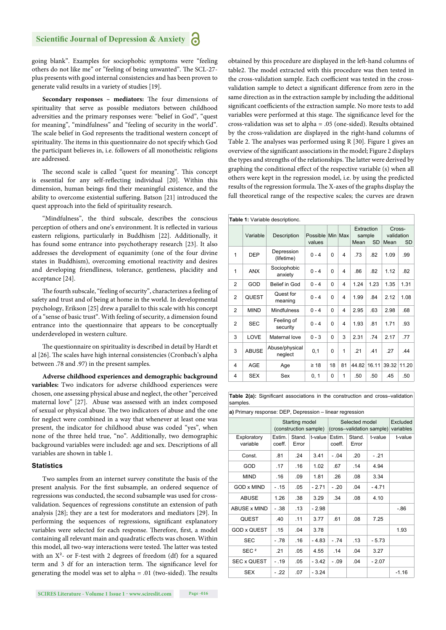going blank". Examples for sociophobic symptoms were "feeling others do not like me" or "feeling of being unwanted". The SCL-27plus presents with good internal consistencies and has been proven to generate valid results in a variety of studies [19].

**Secondary responses - mediators:** The four dimensions of spirituality that serve as possible mediators between childhood adversities and the primary responses were: "belief in God", "quest for meaning", "mindfulness" and "feeling of security in the world". The scale belief in God represents the traditional western concept of spirituality. The items in this questionnaire do not specify which God the participant believes in, i.e. followers of all monotheistic religions are addressed.

The second scale is called "quest for meaning". This concept is essential for any self-reflecting individual [20]. Within this dimension, human beings find their meaningful existence, and the ability to overcome existential suffering. Batson [21] introduced the quest approach into the field of spirituality research.

"Mindfulness", the third subscale, describes the conscious perception of others and one's environment. It is reflected in various eastern religions, particularly in Buddhism [22]. Additionally, it has found some entrance into psychotherapy research [23]. It also addresses the development of equanimity (one of the four divine states in Buddhism), overcoming emotional reactivity and desires and developing friendliness, tolerance, gentleness, placidity and acceptance [24].

The fourth subscale, "feeling of security", characterizes a feeling of safety and trust and of being at home in the world. In developmental psychology, Erikson [25] drew a parallel to this scale with his concept of a "sense of basic trust". With feeling of security, a dimension found entrance into the questionnaire that appears to be conceptually underdeveloped in western culture.

The questionnaire on spirituality is described in detail by Hardt et al [26]. The scales have high internal consistencies (Cronbach's alpha between .78 and .97) in the present samples.

**Adverse childhood experiences and demographic background variables:** Two indicators for adverse childhood experiences were chosen, one assessing physical abuse and neglect, the other "perceived maternal love" [27]. Abuse was assessed with an index composed of sexual or physical abuse. The two indicators of abuse and the one for neglect were combined in a way that whenever at least one was present, the indicator for childhood abuse was coded "yes", when none of the three held true, "no". Additionally, two demographic background variables were included: age and sex. Descriptions of all variables are shown in table 1.

#### **Statistics**

Two samples from an internet survey constitute the basis of the present analysis. For the first subsample, an ordered sequence of regressions was conducted, the second subsample was used for crossvalidation. Sequences of regressions constitute an extension of path analysis [28]; they are a test for moderators and mediators [29]. In performing the sequences of regressions, significant explanatory variables were selected for each response. Therefore, first, a model containing all relevant main and quadratic effects was chosen. Within this model, all two-way interactions were tested. The latter was tested with an  $X^2$ - or F-test with 2 degrees of freedom (df) for a squared term and 3 df for an interaction term. The significance level for generating the model was set to alpha = .01 (two-sided). The results

obtained by this procedure are displayed in the left -hand columns of table2. The model extracted with this procedure was then tested in the cross-validation sample. Each coefficient was tested in the crossvalidation sample to detect a significant difference from zero in the same direction as in the extraction sample by including the additional significant coefficients of the extraction sample. No more tests to add variables were performed at this stage. The significance level for the cross-validation was set to alpha = .05 (one-sided). Results obtained by the cross-validation are displayed in the right-hand columns of Table 2. The analyses was performed using R [30]. Figure 1 gives an overview of the significant associations in the model; Figure 2 displays the types and strengths of the relationships. The latter were derived by graphing the conditional effect of the respective variable (s) when all others were kept in the regression model, i.e. by using the predicted results of the regression formula. The X-axes of the graphs display the full theoretical range of the respective scales; the curves are drawn

|                | Table 1: Variable descriptionc. |                           |                            |          |    |                                           |       |                                           |       |  |  |  |  |
|----------------|---------------------------------|---------------------------|----------------------------|----------|----|-------------------------------------------|-------|-------------------------------------------|-------|--|--|--|--|
|                | Variable                        | Description               | Possible Min Max<br>values |          |    | Extraction<br>sample<br>Mean<br><b>SD</b> |       | Cross-<br>validation<br>Mean<br><b>SD</b> |       |  |  |  |  |
| 1              | <b>DEP</b>                      | Depression<br>(lifetime)  | $0 - 4$                    | 0        | 4  | .73                                       | .82   | 1.09                                      | .99   |  |  |  |  |
| 1              | <b>ANX</b>                      | Sociophobic<br>anxiety    | $0 - 4$                    | $\Omega$ | 4  | .86                                       | .82   | 1.12                                      | .82   |  |  |  |  |
| $\overline{2}$ | GOD                             | Belief in God             | $0 - 4$                    | $\Omega$ | 4  | 1.24                                      | 1.23  | 1.35                                      | 1.31  |  |  |  |  |
| $\overline{2}$ | <b>QUEST</b>                    | Quest for<br>meaning      | $0 - 4$                    | 0        | 4  | 1.99                                      | .84   | 2.12                                      | 1.08  |  |  |  |  |
| $\overline{2}$ | <b>MIND</b>                     | <b>Mindfulness</b>        | $0 - 4$                    | 0        | 4  | 2.95                                      | .63   | 2.98                                      | .68   |  |  |  |  |
| $\overline{2}$ | <b>SEC</b>                      | Feeling of<br>security    | $0 - 4$                    | 0        | 4  | 1.93                                      | .81   | 1.71                                      | .93   |  |  |  |  |
| 3              | LOVE                            | Maternal love             | $0 - 3$                    | 0        | 3  | 2.31                                      | .74   | 2.17                                      | .77   |  |  |  |  |
| 3              | <b>ABUSE</b>                    | Abuse/physical<br>neglect | 0,1                        | 0        | 1  | .21                                       | .41   | .27                                       | .44   |  |  |  |  |
| 4              | AGE                             | Age                       | $\geq 18$                  | 18       | 81 | 44.82                                     | 16.11 | 39.32                                     | 11.20 |  |  |  |  |
| 4              | <b>SEX</b>                      | Sex                       | 0, 1                       | 0        | 1  | .50                                       | .50   | .45                                       | .50   |  |  |  |  |

**Table 2(a):** Significant associations in the construction and cross–validation samples.

**a)** Primary response: DEP, Depression – linear regression

|                         |                  | Starting model<br>(construction sample) |         |                  | Selected model<br>(cross-validation sample) | Excluded<br>variables |         |
|-------------------------|------------------|-----------------------------------------|---------|------------------|---------------------------------------------|-----------------------|---------|
| Exploratory<br>variable | Estim.<br>coeff. | Stand.<br>Error                         | t-value | Estim.<br>coeff. | Stand.<br>Error                             | t-value               | t-value |
| Const.                  | .81              | .24                                     | 3.41    | $-.04$           | .20                                         | $-.21$                |         |
| GOD                     | .17              | .16                                     | 1.02    | .67              | .14                                         | 4.94                  |         |
| <b>MIND</b>             | .16              | .09                                     | 1.81    | .26              | .08                                         | 3.34                  |         |
| <b>GOD x MIND</b>       | $-.15$           | .05                                     | $-2.71$ | $-.20$           | .04                                         | $-4.71$               |         |
| <b>ABUSE</b>            | 1.26             | .38                                     | 3.29    | .34              | .08                                         | 4.10                  |         |
| ABUSE x MIND            | $-.38$           | .13                                     | $-2.98$ |                  |                                             |                       | $-86$   |
| QUEST                   | .40              | .11                                     | 3.77    | .61              | .08                                         | 7.25                  |         |
| <b>GOD x QUEST</b>      | .15              | .04                                     | 3.78    |                  |                                             |                       | 1.93    |
| <b>SEC</b>              | $-.78$           | .16                                     | $-4.83$ | $-.74$           | .13                                         | $-5.73$               |         |
| SEC <sup>2</sup>        | .21              | .05                                     | 4.55    | .14              | .04                                         | 3.27                  |         |
| <b>SEC x QUEST</b>      | $-.19$           | .05                                     | $-3.42$ | $-.09$           | .04                                         | $-2.07$               |         |
| <b>SEX</b>              | $-.22$           | .07                                     | $-3.24$ |                  |                                             |                       | $-1.16$ |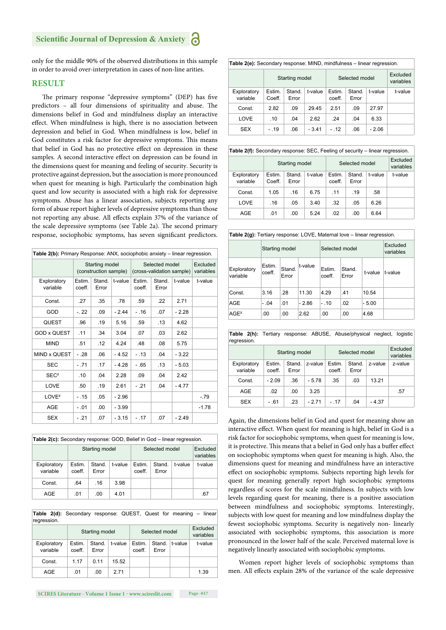#### **Scientific Journal of Depression & Anxiety**

only for the middle 90% of the observed distributions in this sample in order to avoid over-interpretation in cases of non-line arities.

#### **RESULT**

The primary response "depressive symptoms" (DEP) has five predictors - all four dimensions of spirituality and abuse. The dimensions belief in God and mindfulness display an interactive effect. When mindfulness is high, there is no association between depression and belief in God. When mindfulness is low, belief in God constitutes a risk factor for depressive symptoms. This means that belief in God has no protective effect on depression in these samples. A second interactive effect on depression can be found in the dimensions quest for meaning and feeling of security. Security is protective against depression, but the association is more pronounced when quest for meaning is high. Particularly the combination high quest and low security is associated with a high risk for depressive symptoms. Abuse has a linear association, subjects reporting any form of abuse report higher levels of depressive symptoms than those not reporting any abuse. All effects explain 37% of the variance of the scale depressive symptoms (see Table 2a). The second primary response, sociophobic symptoms, has seven significant predictors.

| Table 2(b): Primary Response: ANX, sociophobic anxiety – linear regression. |                  |                                         |         |                  |                                             |                       |         |  |  |  |  |
|-----------------------------------------------------------------------------|------------------|-----------------------------------------|---------|------------------|---------------------------------------------|-----------------------|---------|--|--|--|--|
|                                                                             |                  | Starting model<br>(construction sample) |         |                  | Selected model<br>(cross-validation sample) | Excluded<br>variables |         |  |  |  |  |
| Exploratory<br>variable                                                     | Estim.<br>coeff. | Stand.<br>Error                         | t-value | Estim.<br>coeff. | Stand.<br>Error                             | t-value               | t-value |  |  |  |  |
| Const.                                                                      | .27              | .35                                     | .78     | .59              | .22                                         | 2.71                  |         |  |  |  |  |
| GOD                                                                         | $-.22$           | .09                                     | $-2.44$ | $-.16$           | .07                                         | $-2.28$               |         |  |  |  |  |
| <b>QUEST</b>                                                                | .96              | .19                                     | 5.16    | .59              | .13                                         | 4.62                  |         |  |  |  |  |
| <b>GOD x QUEST</b>                                                          | .11              | .34                                     | 3.04    | .07              | .03                                         | 2.62                  |         |  |  |  |  |
| <b>MIND</b>                                                                 | .51              | .12                                     | 4.24    | .48              | .08                                         | 5.75                  |         |  |  |  |  |
| MIND x QUEST                                                                | - .28            | .06                                     | $-4.52$ | $-.13$           | .04                                         | $-3.22$               |         |  |  |  |  |
| <b>SEC</b>                                                                  | $-.71$           | .17                                     | $-4.28$ | $-.65$           | .13                                         | $-5.03$               |         |  |  |  |  |
| SEC <sup>2</sup>                                                            | .10              | .04                                     | 2.28    | .09              | .04                                         | 2.42                  |         |  |  |  |  |
| LOVE                                                                        | .50              | .19                                     | 2.61    | $-.21$           | .04                                         | $-4.77$               |         |  |  |  |  |
| LOVE <sup>2</sup>                                                           | $-.15$           | .05                                     | $-2.96$ |                  |                                             |                       | $-.79$  |  |  |  |  |
| AGE                                                                         | $-.01$           | .00                                     | $-3.99$ |                  |                                             |                       | $-1.78$ |  |  |  |  |
| <b>SEX</b>                                                                  | $-.21$           | .07                                     | $-3.15$ | $-.17$           | .07                                         | $-2.49$               |         |  |  |  |  |

| <b>Table 2(c):</b> Secondary response: GOD, Belief in God – linear regression. |                  |                 |         |                  |                       |         |         |  |  |  |  |
|--------------------------------------------------------------------------------|------------------|-----------------|---------|------------------|-----------------------|---------|---------|--|--|--|--|
|                                                                                | Starting model   |                 |         | Selected model   | Excluded<br>variables |         |         |  |  |  |  |
| Exploratory<br>variable                                                        | Estim.<br>coeff. | Stand.<br>Error | t-value | Estim.<br>coeff. | Stand.<br>Error       | t-value | t-value |  |  |  |  |
| Const.                                                                         | .64              | .16             | 3.98    |                  |                       |         |         |  |  |  |  |
| AGE                                                                            | .01              | .00.            | 4.01    |                  |                       |         | .67     |  |  |  |  |

**Table 2(d):** Secondary response: QUEST, Quest for meaning – linear regression.

|                         |                  | Starting model  |         | Selected model   | Excluded<br>variables |         |         |
|-------------------------|------------------|-----------------|---------|------------------|-----------------------|---------|---------|
| Exploratory<br>variable | Estim.<br>coeff. | Stand.<br>Error | t-value | Estim.<br>coeff. | Stand.<br>Error       | t-value | t-value |
| Const.                  | 1.17             | 0.11            | 15.52   |                  |                       |         |         |
| AGE                     | .01              | .00             | 271     |                  |                       |         | 1.39    |

| Table 2(e): Secondary response: MIND, mindfulness - linear regression. |                         |                  |                 |         |                  |                       |         |         |
|------------------------------------------------------------------------|-------------------------|------------------|-----------------|---------|------------------|-----------------------|---------|---------|
|                                                                        |                         |                  | Starting model  |         | Selected model   | Excluded<br>variables |         |         |
|                                                                        | Exploratory<br>variable | Estim.<br>Coeff. | Stand.<br>Error | t-value | Estim.<br>coeff. | Stand.<br>Error       | t-value | t-value |
|                                                                        | Const.                  | 2.82             | .09             | 29.45   | 2.51             | .09                   | 27.97   |         |
|                                                                        | LOVE                    | .10              | .04             | 2.62    | .24              | .04                   | 6.33    |         |
|                                                                        | <b>SEX</b>              | $-.19$           | .06             | $-3.41$ | $-.12$           | .06                   | $-2.06$ |         |

|                         | Table 2(f): Secondary response: SEC, Feeling of security - linear regression. |                 |         |                  |                       |         |         |  |  |  |  |
|-------------------------|-------------------------------------------------------------------------------|-----------------|---------|------------------|-----------------------|---------|---------|--|--|--|--|
|                         | Starting model                                                                |                 |         | Selected model   | Excluded<br>variables |         |         |  |  |  |  |
| Exploratory<br>variable | Estim.<br>Coeff.                                                              | Stand.<br>Error | t-value | Estim.<br>coeff. | Stand.<br>Error       | t-value | t-value |  |  |  |  |
| Const.                  | 1.05                                                                          | .16             | 6.75    | .11              | .19                   | .58     |         |  |  |  |  |
| LOVE                    | .16                                                                           | .05             | 3.40    | .32              | .05                   | 6.26    |         |  |  |  |  |
| AGE                     | .01                                                                           | .00             | 5.24    | .02              | .00.                  | 6.64    |         |  |  |  |  |

|  | Table 2(g): Tertiary response: LOVE, Maternal love - linear regression. |  |
|--|-------------------------------------------------------------------------|--|
|  |                                                                         |  |

|                         | Starting model   |                 |         | Selected model   |                 | Excluded<br>variables |         |
|-------------------------|------------------|-----------------|---------|------------------|-----------------|-----------------------|---------|
| Exploratory<br>variable | Estim.<br>coeff. | Stand.<br>Error | t-value | Estim.<br>coeff. | Stand.<br>Error | t-value               | t-value |
| Const.                  | 3.16             | .28             | 11.30   | 4.29             | .41             | 10.54                 |         |
| AGE                     | $-.04$           | .01             | $-2.86$ | $-.10$           | .02             | $-5.00$               |         |
| $AGE^2$                 | .00              | .00             | 2.62    | .00              | .00             | 4.68                  |         |

|             |  |  | <b>Table 2(h):</b> Tertiary response: ABUSE, Abuse/physical neglect, logistic |  |
|-------------|--|--|-------------------------------------------------------------------------------|--|
| regression. |  |  |                                                                               |  |
|             |  |  |                                                                               |  |

|                         |                  | Starting model  |         | Selected model   | Excluded<br>variables |         |         |
|-------------------------|------------------|-----------------|---------|------------------|-----------------------|---------|---------|
| Exploratory<br>variable | Estim.<br>coeff. | Stand.<br>Error | z-value | Estim.<br>coeff. | Stand.<br>Error       | z-value | z-value |
| Const.                  | $-2.09$          | .36             | $-5.78$ | .35              | .03                   | 13.21   |         |
| AGE                     | .02              | .00             | 3.25    |                  |                       |         | .57     |
| <b>SEX</b>              | - .61            | .23             | - 2 71  | $-.17$           | .04                   | - 4.37  |         |

Again, the dimensions belief in God and quest for meaning show an interactive effect. When quest for meaning is high, belief in God is a risk factor for sociophobic symptoms, when quest for meaning is low, it is protective. This means that a belief in God only has a buffer effect on sociophobic symptoms when quest for meaning is high. Also, the dimensions quest for meaning and mindfulness have an interactive effect on sociophobic symptoms. Subjects reporting high levels for quest for meaning generally report high sociophobic symptoms regardless of scores for the scale mindfulness. In subjects with low levels regarding quest for meaning, there is a positive association between mindfulness and sociophobic symptoms. Interestingly, subjects with low quest for meaning and low mindfulness display the fewest sociophobic symptoms. Security is negatively non- linearly associated with sociophobic symptoms, this association is more pronounced in the lower half of the scale. Perceived maternal love is negatively linearly associated with sociophobic symptoms.

Women report higher levels of sociophobic symptoms than men. All effects explain 28% of the variance of the scale depressive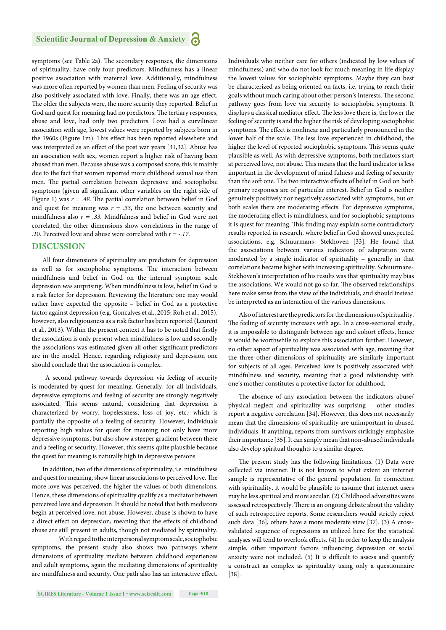symptoms (see Table 2a). The secondary responses, the dimensions of spirituality, have only four predictors. Mindfulness has a linear positive association with maternal love. Additionally, mindfulness was more often reported by women than men. Feeling of security was also positively associated with love. Finally, there was an age effect. The older the subjects were, the more security they reported. Belief in God and quest for meaning had no predictors. The tertiary responses, abuse and love, had only two predictors. Love had a curvilinear association with age, lowest values were reported by subjects born in the 1960s (Figure 1m). This effect has been reported elsewhere and was interpreted as an effect of the post war years [31,32]. Abuse has an association with sex, women report a higher risk of having been abused than men. Because abuse was a composed score, this is mainly due to the fact that women reported more childhood sexual use than men. The partial correlation between depressive and sociophobic symptoms (given all significant other variables on the right side of Figure 1) was  $r = .48$ . The partial correlation between belief in God and quest for meaning was  $r = .33$ , the one between security and mindfulness also  $r = .33$ . Mindfulness and belief in God were not correlated, the other dimensions show correlations in the range of .20. Perceived love and abuse were correlated with *r = -.17*.

#### **DISCUSSION**

All four dimensions of spirituality are predictors for depression as well as for sociophobic symptoms. The interaction between mindfulness and belief in God on the internal symptom scale depression was surprising. When mindfulness is low, belief in God is a risk factor for depression. Reviewing the literature one may would rather have expected the opposite – belief in God as a protective factor against depression (e.g. Goncalves et al., 2015; Roh et al., 2015), however, also religiousness as a risk factor has been reported (Leurent et al., 2013). Within the present context it has to be noted that firstly the association is only present when mindfulness is low and secondly the associations was estimated given all other significant predictors are in the model. Hence, regarding religiosity and depression one should conclude that the association is complex.

 A second pathway towards depression via feeling of security is moderated by quest for meaning. Generally, for all individuals, depressive symptoms and feeling of security are strongly negatively associated. This seems natural, considering that depression is characterized by worry, hopelessness, loss of joy, etc.; which is partially the opposite of a feeling of security. However, individuals reporting high values for quest for meaning not only have more depressive symptoms, but also show a steeper gradient between these and a feeling of security. However, this seems quite plausible because the quest for meaning is naturally high in depressive persons.

In addition, two of the dimensions of spirituality, i.e. mindfulness and quest for meaning, show linear associations to perceived love. The more love was perceived, the higher the values of both dimensions. Hence, these dimensions of spirituality qualify as a mediator between perceived love and depression. It should be noted that both mediators begin at perceived love, not abuse. However, abuse is shown to have a direct effect on depression, meaning that the effects of childhood abuse are still present in adults, though not mediated by spirituality.

 With regard to the interpersonal symptom scale, sociophobic symptoms, the present study also shows two pathways where dimensions of spirituality mediate between childhood experiences and adult symptoms, again the mediating dimensions of spirituality are mindfulness and security. One path also has an interactive effect. Individuals who neither care for others (indicated by low values of mindfulness) and who do not look for much meaning in life display the lowest values for sociophobic symptoms. Maybe they can best be characterized as being oriented on facts, i.e. trying to reach their goals without much caring about other person's interests. The second pathway goes from love via security to sociophobic symptoms. It displays a classical mediator effect. The less love there is, the lower the feeling of security is and the higher the risk of developing sociophobic symptoms. The effect is nonlinear and particularly pronounced in the lower half of the scale. The less love experienced in childhood, the higher the level of reported sociophobic symptoms. This seems quite plausible as well. As with depressive symptoms, both mediators start at perceived love, not abuse. This means that the hard indicator is less important in the development of mind fulness and feeling of security than the soft one. The two interactive effects of belief in God on both primary responses are of particular interest. Belief in God is neither genuinely positively nor negatively associated with symptoms, but on both scales there are moderating effects. For depressive symptoms, the moderating effect is mindfulness, and for sociophobic symptoms it is quest for meaning. This finding may explain some contradictory results reported in research, where belief in God showed unexpected associations, e.g. Schuurmans- Stekhoven [33]. He found that the associations between various indicators of adaptation were moderated by a single indicator of spirituality – generally in that correlations became higher with increasing spirituality. Schuurmans-Stekhoven's interpretation of his results was that spirituality may bias the associations. We would not go so far. The observed relationships here make sense from the view of the individuals, and should instead be interpreted as an interaction of the various dimensions.

Also of interest are the predictors for the dimensions of spirituality. The feeling of security increases with age. In a cross-sectional study, it is impossible to distinguish between age and cohort effects, hence it would be worthwhile to explore this association further. However, no other aspect of spirituality was associated with age, meaning that the three other dimensions of spirituality are similarly important for subjects of all ages. Perceived love is positively associated with mindfulness and security, meaning that a good relationship with one's mother constitutes a protective factor for adulthood.

The absence of any association between the indicators abuse/ physical neglect and spirituality was surprising – other studies report a negative correlation [34]. However, this does not necessarily mean that the dimensions of spirituality are unimportant in abused individuals. If anything, reports from survivors strikingly emphasize their importance [35]. It can simply mean that non-abused individuals also develop spiritual thoughts to a similar degree.

The present study has the following limitations. (1) Data were collected via internet. It is not known to what extent an internet sample is representative of the general population. In connection with spirituality, it would be plausible to assume that internet users may be less spiritual and more secular. (2) Childhood adversities were assessed retrospectively. There is an ongoing debate about the validity of such retrospective reports. Some researchers would strictly reject such data [36], others have a more moderate view [37]. (3) A crossvalidated sequence of regressions as utilized here for the statistical analyses will tend to overlook effects. (4) In order to keep the analysis simple, other important factors influencing depression or social anxiety were not included. (5) It is difficult to assess and quantify a construct as complex as spirituality using only a questionnaire [38].